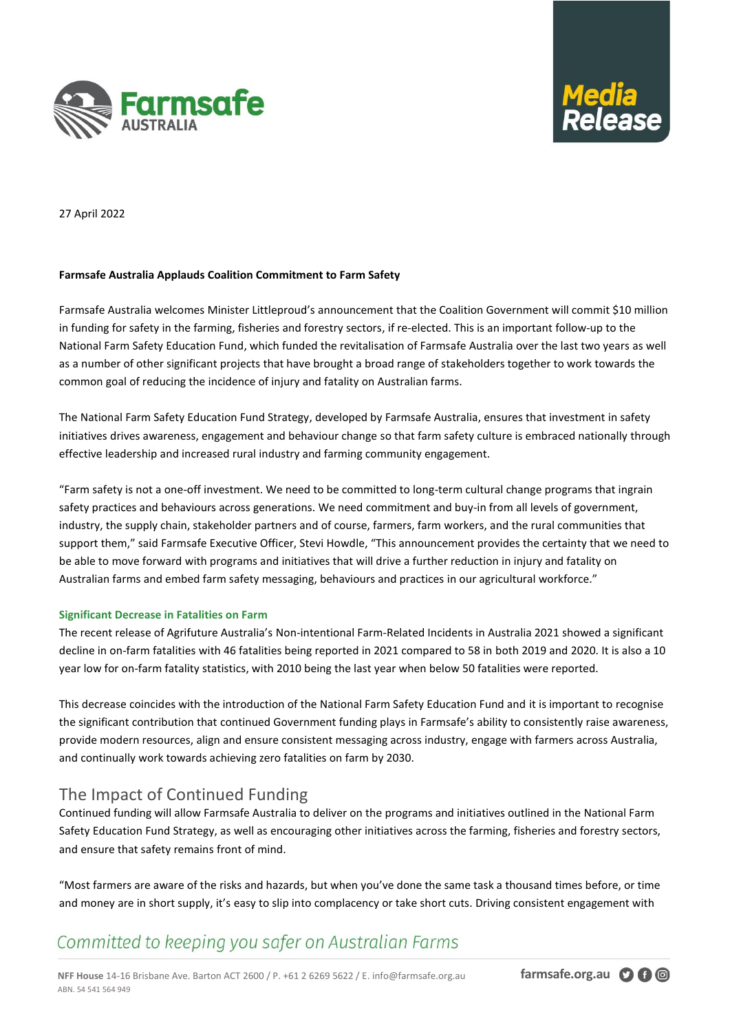



27 April 2022

### **Farmsafe Australia Applauds Coalition Commitment to Farm Safety**

Farmsafe Australia welcomes Minister Littleproud's announcement that the Coalition Government will commit \$10 million in funding for safety in the farming, fisheries and forestry sectors, if re-elected. This is an important follow-up to the National Farm Safety Education Fund, which funded the revitalisation of Farmsafe Australia over the last two years as well as a number of other significant projects that have brought a broad range of stakeholders together to work towards the common goal of reducing the incidence of injury and fatality on Australian farms.

The National Farm Safety Education Fund Strategy, developed by Farmsafe Australia, ensures that investment in safety initiatives drives awareness, engagement and behaviour change so that farm safety culture is embraced nationally through effective leadership and increased rural industry and farming community engagement.

"Farm safety is not a one-off investment. We need to be committed to long-term cultural change programs that ingrain safety practices and behaviours across generations. We need commitment and buy-in from all levels of government, industry, the supply chain, stakeholder partners and of course, farmers, farm workers, and the rural communities that support them," said Farmsafe Executive Officer, Stevi Howdle, "This announcement provides the certainty that we need to be able to move forward with programs and initiatives that will drive a further reduction in injury and fatality on Australian farms and embed farm safety messaging, behaviours and practices in our agricultural workforce."

### **Significant Decrease in Fatalities on Farm**

The recent release of Agrifuture Australia's Non-intentional Farm-Related Incidents in Australia 2021 showed a significant decline in on-farm fatalities with 46 fatalities being reported in 2021 compared to 58 in both 2019 and 2020. It is also a 10 year low for on-farm fatality statistics, with 2010 being the last year when below 50 fatalities were reported.

This decrease coincides with the introduction of the National Farm Safety Education Fund and it is important to recognise the significant contribution that continued Government funding plays in Farmsafe's ability to consistently raise awareness, provide modern resources, align and ensure consistent messaging across industry, engage with farmers across Australia, and continually work towards achieving zero fatalities on farm by 2030.

## The Impact of Continued Funding

Continued funding will allow Farmsafe Australia to deliver on the programs and initiatives outlined in the National Farm Safety Education Fund Strategy, as well as encouraging other initiatives across the farming, fisheries and forestry sectors, and ensure that safety remains front of mind.

"Most farmers are aware of the risks and hazards, but when you've done the same task a thousand times before, or time and money are in short supply, it's easy to slip into complacency or take short cuts. Driving consistent engagement with

# Committed to keeping you safer on Australian Farms